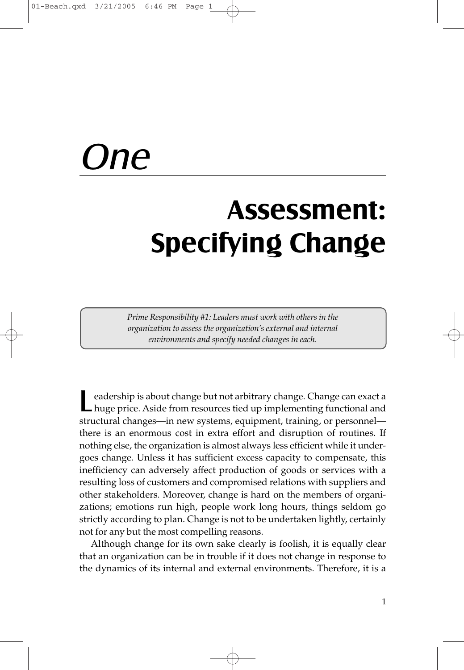# One

## **Assessment: Specifying Change**

*Prime Responsibility #1: Leaders must work with others in the organization to assess the organization's external and internal environments and specify needed changes in each.*

L eadership is about change but not arbitrary change. Change can exact a huge price. Aside from resources tied up implementing functional and structural changes—in new systems, equipment, training, or personnel there is an enormous cost in extra effort and disruption of routines. If nothing else, the organization is almost always less efficient while it undergoes change. Unless it has sufficient excess capacity to compensate, this inefficiency can adversely affect production of goods or services with a resulting loss of customers and compromised relations with suppliers and other stakeholders. Moreover, change is hard on the members of organizations; emotions run high, people work long hours, things seldom go strictly according to plan. Change is not to be undertaken lightly, certainly not for any but the most compelling reasons.

Although change for its own sake clearly is foolish, it is equally clear that an organization can be in trouble if it does not change in response to the dynamics of its internal and external environments. Therefore, it is a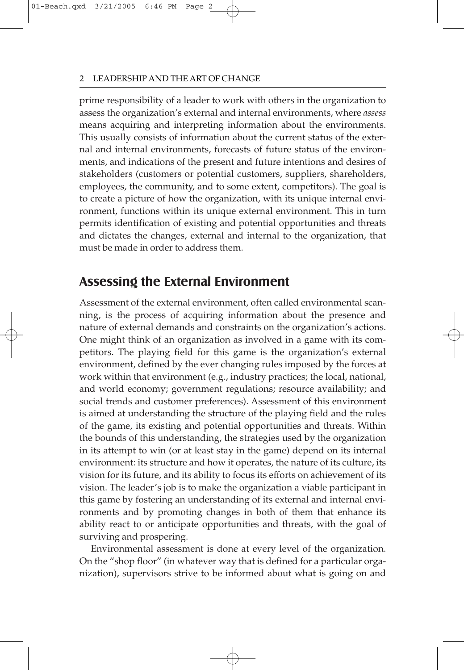prime responsibility of a leader to work with others in the organization to assess the organization's external and internal environments, where *assess* means acquiring and interpreting information about the environments. This usually consists of information about the current status of the external and internal environments, forecasts of future status of the environments, and indications of the present and future intentions and desires of stakeholders (customers or potential customers, suppliers, shareholders, employees, the community, and to some extent, competitors). The goal is to create a picture of how the organization, with its unique internal environment, functions within its unique external environment. This in turn permits identification of existing and potential opportunities and threats and dictates the changes, external and internal to the organization, that must be made in order to address them.

## **Assessing the External Environment**

Assessment of the external environment, often called environmental scanning, is the process of acquiring information about the presence and nature of external demands and constraints on the organization's actions. One might think of an organization as involved in a game with its competitors. The playing field for this game is the organization's external environment, defined by the ever changing rules imposed by the forces at work within that environment (e.g., industry practices; the local, national, and world economy; government regulations; resource availability; and social trends and customer preferences). Assessment of this environment is aimed at understanding the structure of the playing field and the rules of the game, its existing and potential opportunities and threats. Within the bounds of this understanding, the strategies used by the organization in its attempt to win (or at least stay in the game) depend on its internal environment: its structure and how it operates, the nature of its culture, its vision for its future, and its ability to focus its efforts on achievement of its vision. The leader's job is to make the organization a viable participant in this game by fostering an understanding of its external and internal environments and by promoting changes in both of them that enhance its ability react to or anticipate opportunities and threats, with the goal of surviving and prospering.

Environmental assessment is done at every level of the organization. On the "shop floor" (in whatever way that is defined for a particular organization), supervisors strive to be informed about what is going on and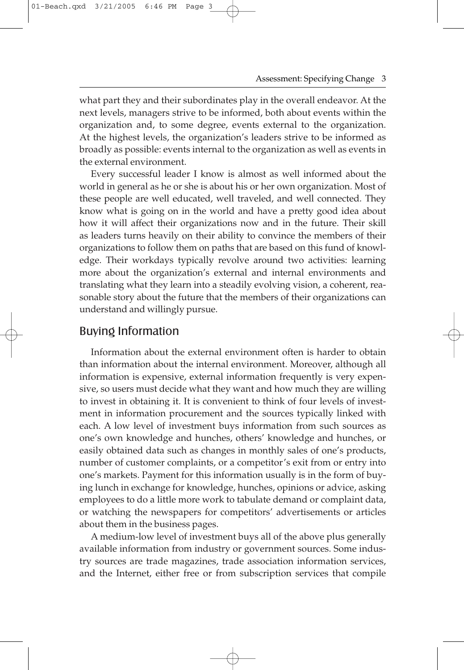what part they and their subordinates play in the overall endeavor. At the next levels, managers strive to be informed, both about events within the organization and, to some degree, events external to the organization. At the highest levels, the organization's leaders strive to be informed as broadly as possible: events internal to the organization as well as events in the external environment.

Every successful leader I know is almost as well informed about the world in general as he or she is about his or her own organization. Most of these people are well educated, well traveled, and well connected. They know what is going on in the world and have a pretty good idea about how it will affect their organizations now and in the future. Their skill as leaders turns heavily on their ability to convince the members of their organizations to follow them on paths that are based on this fund of knowledge. Their workdays typically revolve around two activities: learning more about the organization's external and internal environments and translating what they learn into a steadily evolving vision, a coherent, reasonable story about the future that the members of their organizations can understand and willingly pursue.

## Buying Information

Information about the external environment often is harder to obtain than information about the internal environment. Moreover, although all information is expensive, external information frequently is very expensive, so users must decide what they want and how much they are willing to invest in obtaining it. It is convenient to think of four levels of investment in information procurement and the sources typically linked with each. A low level of investment buys information from such sources as one's own knowledge and hunches, others' knowledge and hunches, or easily obtained data such as changes in monthly sales of one's products, number of customer complaints, or a competitor's exit from or entry into one's markets. Payment for this information usually is in the form of buying lunch in exchange for knowledge, hunches, opinions or advice, asking employees to do a little more work to tabulate demand or complaint data, or watching the newspapers for competitors' advertisements or articles about them in the business pages.

A medium-low level of investment buys all of the above plus generally available information from industry or government sources. Some industry sources are trade magazines, trade association information services, and the Internet, either free or from subscription services that compile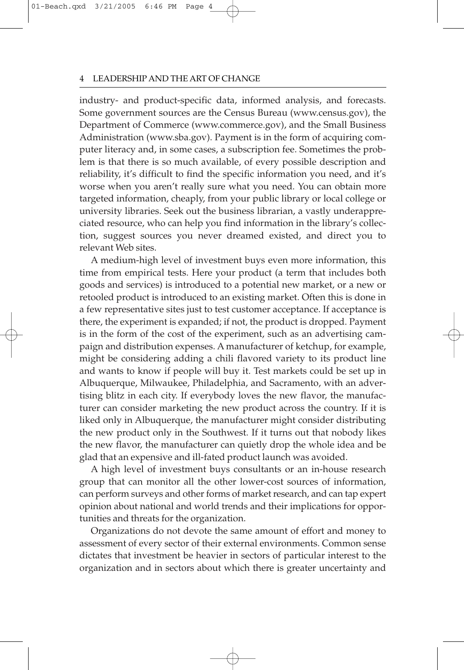industry- and product-specific data, informed analysis, and forecasts. Some government sources are the Census Bureau (www.census.gov), the Department of Commerce (www.commerce.gov), and the Small Business Administration (www.sba.gov). Payment is in the form of acquiring computer literacy and, in some cases, a subscription fee. Sometimes the problem is that there is so much available, of every possible description and reliability, it's difficult to find the specific information you need, and it's worse when you aren't really sure what you need. You can obtain more targeted information, cheaply, from your public library or local college or university libraries. Seek out the business librarian, a vastly underappreciated resource, who can help you find information in the library's collection, suggest sources you never dreamed existed, and direct you to relevant Web sites.

A medium-high level of investment buys even more information, this time from empirical tests. Here your product (a term that includes both goods and services) is introduced to a potential new market, or a new or retooled product is introduced to an existing market. Often this is done in a few representative sites just to test customer acceptance. If acceptance is there, the experiment is expanded; if not, the product is dropped. Payment is in the form of the cost of the experiment, such as an advertising campaign and distribution expenses. A manufacturer of ketchup, for example, might be considering adding a chili flavored variety to its product line and wants to know if people will buy it. Test markets could be set up in Albuquerque, Milwaukee, Philadelphia, and Sacramento, with an advertising blitz in each city. If everybody loves the new flavor, the manufacturer can consider marketing the new product across the country. If it is liked only in Albuquerque, the manufacturer might consider distributing the new product only in the Southwest. If it turns out that nobody likes the new flavor, the manufacturer can quietly drop the whole idea and be glad that an expensive and ill-fated product launch was avoided.

A high level of investment buys consultants or an in-house research group that can monitor all the other lower-cost sources of information, can perform surveys and other forms of market research, and can tap expert opinion about national and world trends and their implications for opportunities and threats for the organization.

Organizations do not devote the same amount of effort and money to assessment of every sector of their external environments. Common sense dictates that investment be heavier in sectors of particular interest to the organization and in sectors about which there is greater uncertainty and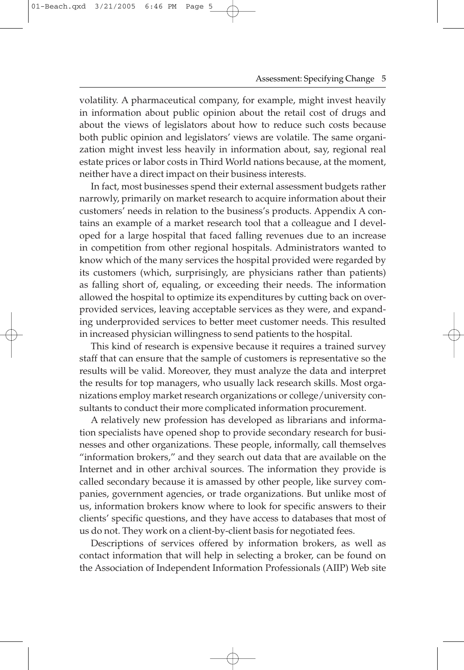volatility. A pharmaceutical company, for example, might invest heavily in information about public opinion about the retail cost of drugs and about the views of legislators about how to reduce such costs because both public opinion and legislators' views are volatile. The same organization might invest less heavily in information about, say, regional real estate prices or labor costs in Third World nations because, at the moment, neither have a direct impact on their business interests.

01-Beach.qxd 3/21/2005 6:46 PM

In fact, most businesses spend their external assessment budgets rather narrowly, primarily on market research to acquire information about their customers' needs in relation to the business's products. Appendix A contains an example of a market research tool that a colleague and I developed for a large hospital that faced falling revenues due to an increase in competition from other regional hospitals. Administrators wanted to know which of the many services the hospital provided were regarded by its customers (which, surprisingly, are physicians rather than patients) as falling short of, equaling, or exceeding their needs. The information allowed the hospital to optimize its expenditures by cutting back on overprovided services, leaving acceptable services as they were, and expanding underprovided services to better meet customer needs. This resulted in increased physician willingness to send patients to the hospital.

This kind of research is expensive because it requires a trained survey staff that can ensure that the sample of customers is representative so the results will be valid. Moreover, they must analyze the data and interpret the results for top managers, who usually lack research skills. Most organizations employ market research organizations or college/university consultants to conduct their more complicated information procurement.

A relatively new profession has developed as librarians and information specialists have opened shop to provide secondary research for businesses and other organizations. These people, informally, call themselves "information brokers," and they search out data that are available on the Internet and in other archival sources. The information they provide is called secondary because it is amassed by other people, like survey companies, government agencies, or trade organizations. But unlike most of us, information brokers know where to look for specific answers to their clients' specific questions, and they have access to databases that most of us do not. They work on a client-by-client basis for negotiated fees.

Descriptions of services offered by information brokers, as well as contact information that will help in selecting a broker, can be found on the Association of Independent Information Professionals (AIIP) Web site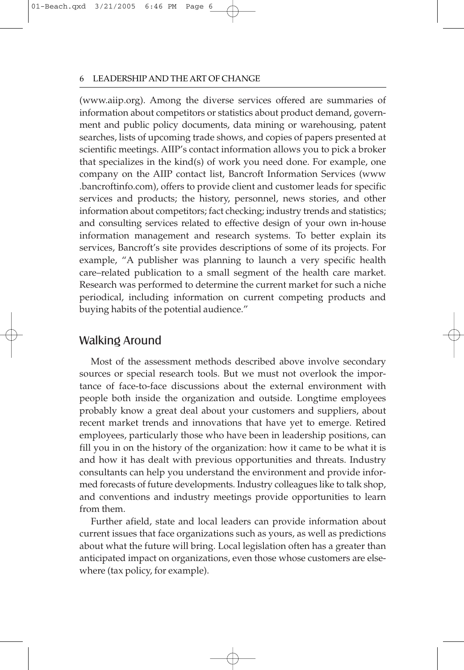(www.aiip.org). Among the diverse services offered are summaries of information about competitors or statistics about product demand, government and public policy documents, data mining or warehousing, patent searches, lists of upcoming trade shows, and copies of papers presented at scientific meetings. AIIP's contact information allows you to pick a broker that specializes in the kind(s) of work you need done. For example, one company on the AIIP contact list, Bancroft Information Services (www .bancroftinfo.com), offers to provide client and customer leads for specific services and products; the history, personnel, news stories, and other information about competitors; fact checking; industry trends and statistics; and consulting services related to effective design of your own in-house information management and research systems. To better explain its services, Bancroft's site provides descriptions of some of its projects. For example, "A publisher was planning to launch a very specific health care–related publication to a small segment of the health care market. Research was performed to determine the current market for such a niche periodical, including information on current competing products and buying habits of the potential audience."

#### Walking Around

Most of the assessment methods described above involve secondary sources or special research tools. But we must not overlook the importance of face-to-face discussions about the external environment with people both inside the organization and outside. Longtime employees probably know a great deal about your customers and suppliers, about recent market trends and innovations that have yet to emerge. Retired employees, particularly those who have been in leadership positions, can fill you in on the history of the organization: how it came to be what it is and how it has dealt with previous opportunities and threats. Industry consultants can help you understand the environment and provide informed forecasts of future developments. Industry colleagues like to talk shop, and conventions and industry meetings provide opportunities to learn from them.

Further afield, state and local leaders can provide information about current issues that face organizations such as yours, as well as predictions about what the future will bring. Local legislation often has a greater than anticipated impact on organizations, even those whose customers are elsewhere (tax policy, for example).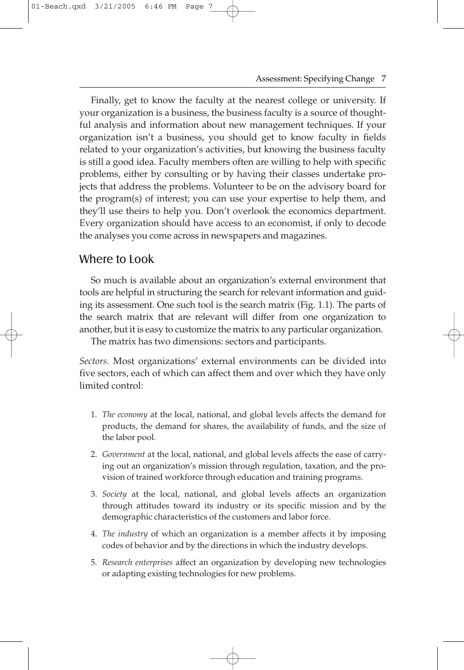Finally, get to know the faculty at the nearest college or university. If your organization is a business, the business faculty is a source of thoughtful analysis and information about new management techniques. If your organization isn't a business, you should get to know faculty in fields related to your organization's activities, but knowing the business faculty is still a good idea. Faculty members often are willing to help with specific problems, either by consulting or by having their classes undertake projects that address the problems. Volunteer to be on the advisory board for the program(s) of interest; you can use your expertise to help them, and they'll use theirs to help you. Don't overlook the economics department. Every organization should have access to an economist, if only to decode the analyses you come across in newspapers and magazines.

## Where to Look

So much is available about an organization's external environment that tools are helpful in structuring the search for relevant information and guiding its assessment. One such tool is the search matrix (Fig. 1.1). The parts of the search matrix that are relevant will differ from one organization to another, but it is easy to customize the matrix to any particular organization.

The matrix has two dimensions: sectors and participants.

*Sectors.* Most organizations' external environments can be divided into five sectors, each of which can affect them and over which they have only limited control:

- 1*. The economy* at the local, national, and global levels affects the demand for products, the demand for shares, the availability of funds, and the size of the labor pool.
- 2. *Government* at the local, national, and global levels affects the ease of carrying out an organization's mission through regulation, taxation, and the provision of trained workforce through education and training programs.
- 3. *Society* at the local, national, and global levels affects an organization through attitudes toward its industry or its specific mission and by the demographic characteristics of the customers and labor force.
- 4. *The industry* of which an organization is a member affects it by imposing codes of behavior and by the directions in which the industry develops.
- 5*. Research enterprises* affect an organization by developing new technologies or adapting existing technologies for new problems.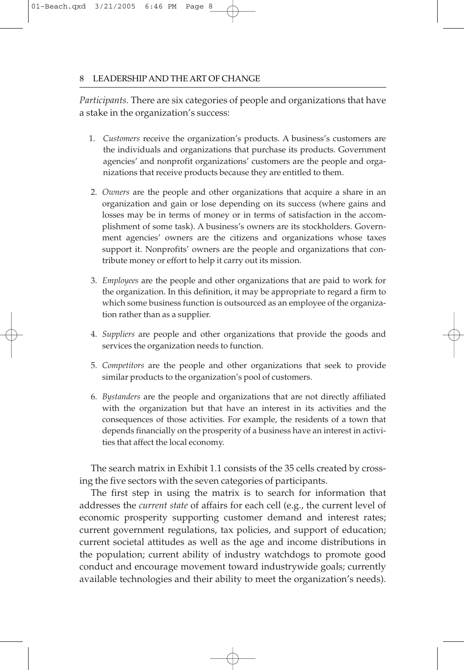*Participants.* There are six categories of people and organizations that have a stake in the organization's success:

- 1. *Customers* receive the organization's products. A business's customers are the individuals and organizations that purchase its products. Government agencies' and nonprofit organizations' customers are the people and organizations that receive products because they are entitled to them.
- 2. *Owners* are the people and other organizations that acquire a share in an organization and gain or lose depending on its success (where gains and losses may be in terms of money or in terms of satisfaction in the accomplishment of some task). A business's owners are its stockholders. Government agencies' owners are the citizens and organizations whose taxes support it. Nonprofits' owners are the people and organizations that contribute money or effort to help it carry out its mission.
- 3. *Employees* are the people and other organizations that are paid to work for the organization. In this definition, it may be appropriate to regard a firm to which some business function is outsourced as an employee of the organization rather than as a supplier.
- 4. *Suppliers* are people and other organizations that provide the goods and services the organization needs to function.
- 5. *Competitors* are the people and other organizations that seek to provide similar products to the organization's pool of customers.
- 6. *Bystanders* are the people and organizations that are not directly affiliated with the organization but that have an interest in its activities and the consequences of those activities. For example, the residents of a town that depends financially on the prosperity of a business have an interest in activities that affect the local economy.

The search matrix in Exhibit 1.1 consists of the 35 cells created by crossing the five sectors with the seven categories of participants.

The first step in using the matrix is to search for information that addresses the *current state* of affairs for each cell (e.g., the current level of economic prosperity supporting customer demand and interest rates; current government regulations, tax policies, and support of education; current societal attitudes as well as the age and income distributions in the population; current ability of industry watchdogs to promote good conduct and encourage movement toward industrywide goals; currently available technologies and their ability to meet the organization's needs).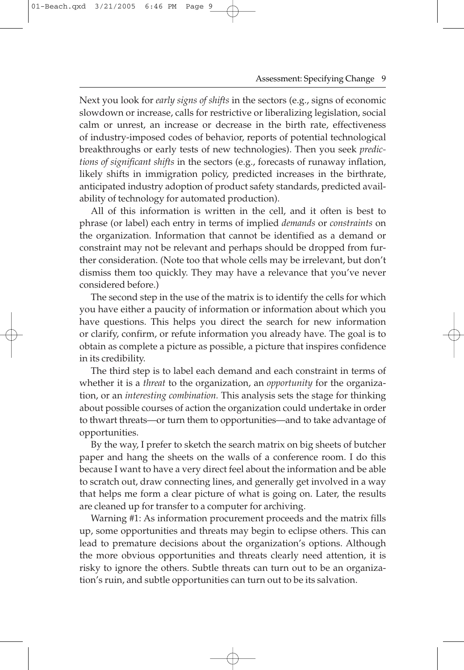Next you look for *early signs of shifts* in the sectors (e.g., signs of economic slowdown or increase, calls for restrictive or liberalizing legislation, social calm or unrest, an increase or decrease in the birth rate, effectiveness of industry-imposed codes of behavior, reports of potential technological breakthroughs or early tests of new technologies). Then you seek *predictions of significant shifts* in the sectors (e.g., forecasts of runaway inflation, likely shifts in immigration policy, predicted increases in the birthrate, anticipated industry adoption of product safety standards, predicted availability of technology for automated production).

All of this information is written in the cell, and it often is best to phrase (or label) each entry in terms of implied *demands* or *constraints* on the organization. Information that cannot be identified as a demand or constraint may not be relevant and perhaps should be dropped from further consideration. (Note too that whole cells may be irrelevant, but don't dismiss them too quickly. They may have a relevance that you've never considered before.)

The second step in the use of the matrix is to identify the cells for which you have either a paucity of information or information about which you have questions. This helps you direct the search for new information or clarify, confirm, or refute information you already have. The goal is to obtain as complete a picture as possible, a picture that inspires confidence in its credibility.

The third step is to label each demand and each constraint in terms of whether it is a *threat* to the organization, an *opportunity* for the organization, or an *interesting combination.* This analysis sets the stage for thinking about possible courses of action the organization could undertake in order to thwart threats—or turn them to opportunities—and to take advantage of opportunities.

By the way, I prefer to sketch the search matrix on big sheets of butcher paper and hang the sheets on the walls of a conference room. I do this because I want to have a very direct feel about the information and be able to scratch out, draw connecting lines, and generally get involved in a way that helps me form a clear picture of what is going on. Later, the results are cleaned up for transfer to a computer for archiving.

Warning #1: As information procurement proceeds and the matrix fills up, some opportunities and threats may begin to eclipse others. This can lead to premature decisions about the organization's options. Although the more obvious opportunities and threats clearly need attention, it is risky to ignore the others. Subtle threats can turn out to be an organization's ruin, and subtle opportunities can turn out to be its salvation.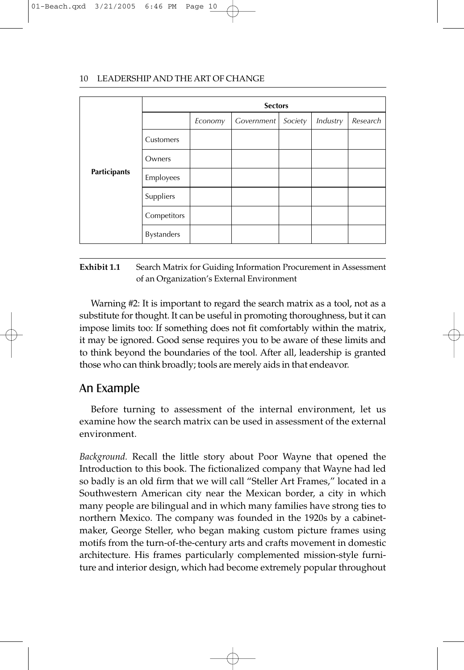|              | <b>Sectors</b>    |         |            |         |          |          |
|--------------|-------------------|---------|------------|---------|----------|----------|
| Participants |                   | Economy | Government | Society | Industry | Research |
|              | Customers         |         |            |         |          |          |
|              | Owners            |         |            |         |          |          |
|              | Employees         |         |            |         |          |          |
|              | Suppliers         |         |            |         |          |          |
|              | Competitors       |         |            |         |          |          |
|              | <b>Bystanders</b> |         |            |         |          |          |
|              |                   |         |            |         |          |          |

| Exhibit 1.1 | Search Matrix for Guiding Information Procurement in Assessment |
|-------------|-----------------------------------------------------------------|
|             | of an Organization's External Environment                       |

Warning #2: It is important to regard the search matrix as a tool, not as a substitute for thought. It can be useful in promoting thoroughness, but it can impose limits too: If something does not fit comfortably within the matrix, it may be ignored. Good sense requires you to be aware of these limits and to think beyond the boundaries of the tool. After all, leadership is granted those who can think broadly; tools are merely aids in that endeavor.

#### An Example

Before turning to assessment of the internal environment, let us examine how the search matrix can be used in assessment of the external environment.

*Background.* Recall the little story about Poor Wayne that opened the Introduction to this book. The fictionalized company that Wayne had led so badly is an old firm that we will call "Steller Art Frames," located in a Southwestern American city near the Mexican border, a city in which many people are bilingual and in which many families have strong ties to northern Mexico. The company was founded in the 1920s by a cabinetmaker, George Steller, who began making custom picture frames using motifs from the turn-of-the-century arts and crafts movement in domestic architecture. His frames particularly complemented mission-style furniture and interior design, which had become extremely popular throughout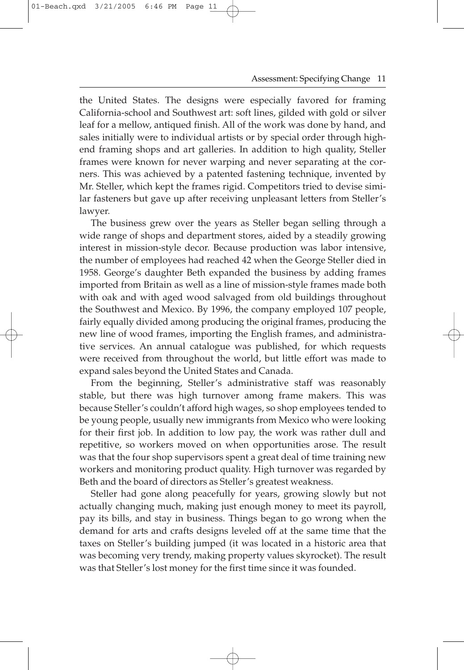the United States. The designs were especially favored for framing California-school and Southwest art: soft lines, gilded with gold or silver leaf for a mellow, antiqued finish. All of the work was done by hand, and sales initially were to individual artists or by special order through highend framing shops and art galleries. In addition to high quality, Steller frames were known for never warping and never separating at the corners. This was achieved by a patented fastening technique, invented by Mr. Steller, which kept the frames rigid. Competitors tried to devise similar fasteners but gave up after receiving unpleasant letters from Steller's lawyer.

01-Beach.qxd 3/21/2005 6:46 PM

The business grew over the years as Steller began selling through a wide range of shops and department stores, aided by a steadily growing interest in mission-style decor. Because production was labor intensive, the number of employees had reached 42 when the George Steller died in 1958. George's daughter Beth expanded the business by adding frames imported from Britain as well as a line of mission-style frames made both with oak and with aged wood salvaged from old buildings throughout the Southwest and Mexico. By 1996, the company employed 107 people, fairly equally divided among producing the original frames, producing the new line of wood frames, importing the English frames, and administrative services. An annual catalogue was published, for which requests were received from throughout the world, but little effort was made to expand sales beyond the United States and Canada.

From the beginning, Steller's administrative staff was reasonably stable, but there was high turnover among frame makers. This was because Steller's couldn't afford high wages, so shop employees tended to be young people, usually new immigrants from Mexico who were looking for their first job. In addition to low pay, the work was rather dull and repetitive, so workers moved on when opportunities arose. The result was that the four shop supervisors spent a great deal of time training new workers and monitoring product quality. High turnover was regarded by Beth and the board of directors as Steller's greatest weakness.

Steller had gone along peacefully for years, growing slowly but not actually changing much, making just enough money to meet its payroll, pay its bills, and stay in business. Things began to go wrong when the demand for arts and crafts designs leveled off at the same time that the taxes on Steller's building jumped (it was located in a historic area that was becoming very trendy, making property values skyrocket). The result was that Steller's lost money for the first time since it was founded.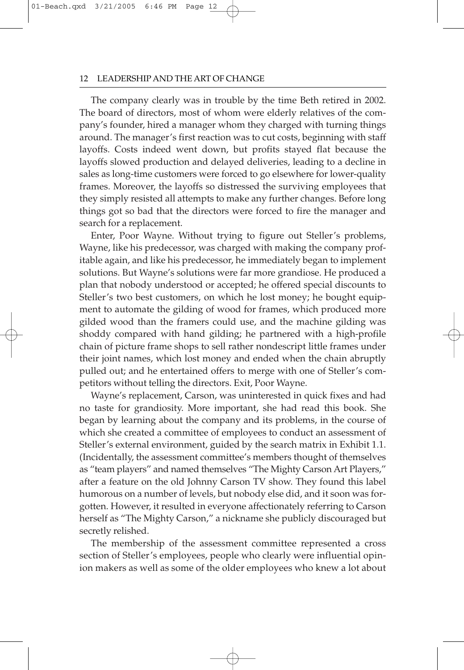The company clearly was in trouble by the time Beth retired in 2002. The board of directors, most of whom were elderly relatives of the company's founder, hired a manager whom they charged with turning things around. The manager's first reaction was to cut costs, beginning with staff layoffs. Costs indeed went down, but profits stayed flat because the layoffs slowed production and delayed deliveries, leading to a decline in sales as long-time customers were forced to go elsewhere for lower-quality frames. Moreover, the layoffs so distressed the surviving employees that they simply resisted all attempts to make any further changes. Before long things got so bad that the directors were forced to fire the manager and search for a replacement.

Enter, Poor Wayne. Without trying to figure out Steller's problems, Wayne, like his predecessor, was charged with making the company profitable again, and like his predecessor, he immediately began to implement solutions. But Wayne's solutions were far more grandiose. He produced a plan that nobody understood or accepted; he offered special discounts to Steller's two best customers, on which he lost money; he bought equipment to automate the gilding of wood for frames, which produced more gilded wood than the framers could use, and the machine gilding was shoddy compared with hand gilding; he partnered with a high-profile chain of picture frame shops to sell rather nondescript little frames under their joint names, which lost money and ended when the chain abruptly pulled out; and he entertained offers to merge with one of Steller's competitors without telling the directors. Exit, Poor Wayne.

Wayne's replacement, Carson, was uninterested in quick fixes and had no taste for grandiosity. More important, she had read this book. She began by learning about the company and its problems, in the course of which she created a committee of employees to conduct an assessment of Steller's external environment, guided by the search matrix in Exhibit 1.1. (Incidentally, the assessment committee's members thought of themselves as "team players" and named themselves "The Mighty Carson Art Players," after a feature on the old Johnny Carson TV show. They found this label humorous on a number of levels, but nobody else did, and it soon was forgotten. However, it resulted in everyone affectionately referring to Carson herself as "The Mighty Carson," a nickname she publicly discouraged but secretly relished.

The membership of the assessment committee represented a cross section of Steller's employees, people who clearly were influential opinion makers as well as some of the older employees who knew a lot about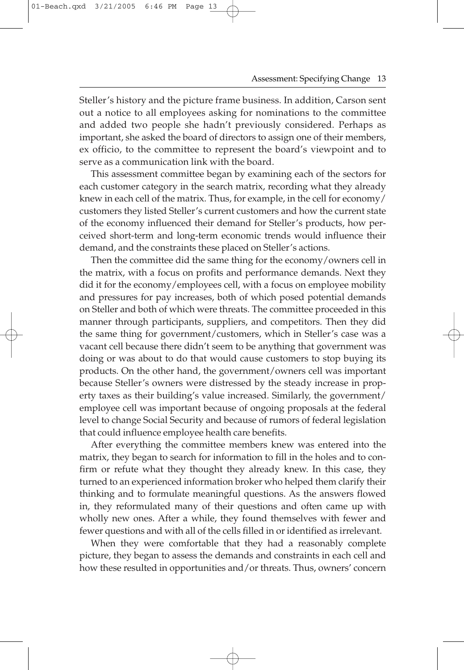Steller's history and the picture frame business. In addition, Carson sent out a notice to all employees asking for nominations to the committee and added two people she hadn't previously considered. Perhaps as important, she asked the board of directors to assign one of their members, ex officio, to the committee to represent the board's viewpoint and to serve as a communication link with the board.

This assessment committee began by examining each of the sectors for each customer category in the search matrix, recording what they already knew in each cell of the matrix. Thus, for example, in the cell for economy/ customers they listed Steller's current customers and how the current state of the economy influenced their demand for Steller's products, how perceived short-term and long-term economic trends would influence their demand, and the constraints these placed on Steller's actions.

Then the committee did the same thing for the economy/owners cell in the matrix, with a focus on profits and performance demands. Next they did it for the economy/employees cell, with a focus on employee mobility and pressures for pay increases, both of which posed potential demands on Steller and both of which were threats. The committee proceeded in this manner through participants, suppliers, and competitors. Then they did the same thing for government/customers, which in Steller's case was a vacant cell because there didn't seem to be anything that government was doing or was about to do that would cause customers to stop buying its products. On the other hand, the government/owners cell was important because Steller's owners were distressed by the steady increase in property taxes as their building's value increased. Similarly, the government/ employee cell was important because of ongoing proposals at the federal level to change Social Security and because of rumors of federal legislation that could influence employee health care benefits.

After everything the committee members knew was entered into the matrix, they began to search for information to fill in the holes and to confirm or refute what they thought they already knew. In this case, they turned to an experienced information broker who helped them clarify their thinking and to formulate meaningful questions. As the answers flowed in, they reformulated many of their questions and often came up with wholly new ones. After a while, they found themselves with fewer and fewer questions and with all of the cells filled in or identified as irrelevant.

When they were comfortable that they had a reasonably complete picture, they began to assess the demands and constraints in each cell and how these resulted in opportunities and/or threats. Thus, owners' concern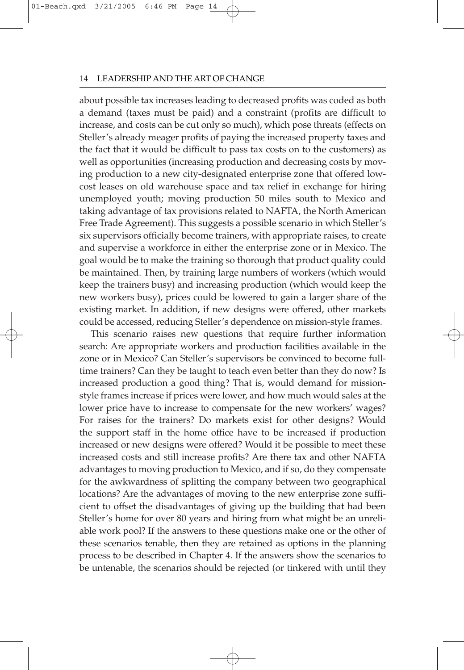about possible tax increases leading to decreased profits was coded as both a demand (taxes must be paid) and a constraint (profits are difficult to increase, and costs can be cut only so much), which pose threats (effects on Steller's already meager profits of paying the increased property taxes and the fact that it would be difficult to pass tax costs on to the customers) as well as opportunities (increasing production and decreasing costs by moving production to a new city-designated enterprise zone that offered lowcost leases on old warehouse space and tax relief in exchange for hiring unemployed youth; moving production 50 miles south to Mexico and taking advantage of tax provisions related to NAFTA, the North American Free Trade Agreement). This suggests a possible scenario in which Steller's six supervisors officially become trainers, with appropriate raises, to create and supervise a workforce in either the enterprise zone or in Mexico. The goal would be to make the training so thorough that product quality could be maintained. Then, by training large numbers of workers (which would keep the trainers busy) and increasing production (which would keep the new workers busy), prices could be lowered to gain a larger share of the existing market. In addition, if new designs were offered, other markets could be accessed, reducing Steller's dependence on mission-style frames.

This scenario raises new questions that require further information search: Are appropriate workers and production facilities available in the zone or in Mexico? Can Steller's supervisors be convinced to become fulltime trainers? Can they be taught to teach even better than they do now? Is increased production a good thing? That is, would demand for missionstyle frames increase if prices were lower, and how much would sales at the lower price have to increase to compensate for the new workers' wages? For raises for the trainers? Do markets exist for other designs? Would the support staff in the home office have to be increased if production increased or new designs were offered? Would it be possible to meet these increased costs and still increase profits? Are there tax and other NAFTA advantages to moving production to Mexico, and if so, do they compensate for the awkwardness of splitting the company between two geographical locations? Are the advantages of moving to the new enterprise zone sufficient to offset the disadvantages of giving up the building that had been Steller's home for over 80 years and hiring from what might be an unreliable work pool? If the answers to these questions make one or the other of these scenarios tenable, then they are retained as options in the planning process to be described in Chapter 4. If the answers show the scenarios to be untenable, the scenarios should be rejected (or tinkered with until they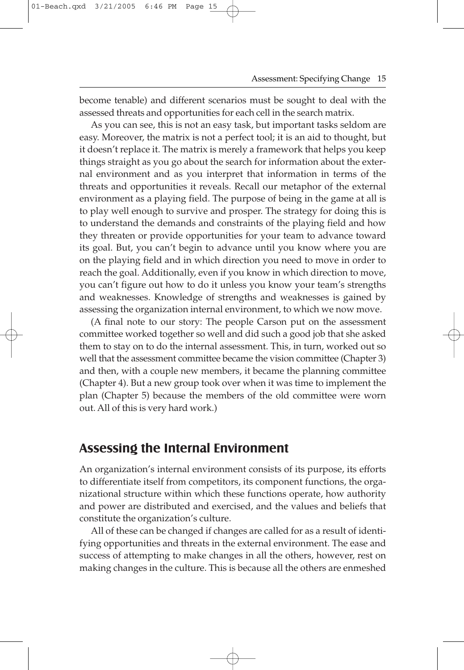01-Beach.qxd 3/21/2005 6:46 PM

become tenable) and different scenarios must be sought to deal with the assessed threats and opportunities for each cell in the search matrix.

As you can see, this is not an easy task, but important tasks seldom are easy. Moreover, the matrix is not a perfect tool; it is an aid to thought, but it doesn't replace it. The matrix is merely a framework that helps you keep things straight as you go about the search for information about the external environment and as you interpret that information in terms of the threats and opportunities it reveals. Recall our metaphor of the external environment as a playing field. The purpose of being in the game at all is to play well enough to survive and prosper. The strategy for doing this is to understand the demands and constraints of the playing field and how they threaten or provide opportunities for your team to advance toward its goal. But, you can't begin to advance until you know where you are on the playing field and in which direction you need to move in order to reach the goal. Additionally, even if you know in which direction to move, you can't figure out how to do it unless you know your team's strengths and weaknesses. Knowledge of strengths and weaknesses is gained by assessing the organization internal environment, to which we now move.

(A final note to our story: The people Carson put on the assessment committee worked together so well and did such a good job that she asked them to stay on to do the internal assessment. This, in turn, worked out so well that the assessment committee became the vision committee (Chapter 3) and then, with a couple new members, it became the planning committee (Chapter 4). But a new group took over when it was time to implement the plan (Chapter 5) because the members of the old committee were worn out. All of this is very hard work.)

## **Assessing the Internal Environment**

An organization's internal environment consists of its purpose, its efforts to differentiate itself from competitors, its component functions, the organizational structure within which these functions operate, how authority and power are distributed and exercised, and the values and beliefs that constitute the organization's culture.

All of these can be changed if changes are called for as a result of identifying opportunities and threats in the external environment. The ease and success of attempting to make changes in all the others, however, rest on making changes in the culture. This is because all the others are enmeshed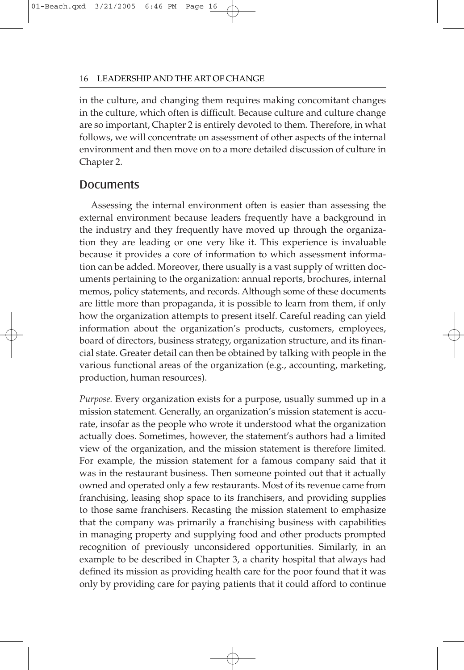in the culture, and changing them requires making concomitant changes in the culture, which often is difficult. Because culture and culture change are so important, Chapter 2 is entirely devoted to them. Therefore, in what follows, we will concentrate on assessment of other aspects of the internal environment and then move on to a more detailed discussion of culture in Chapter 2.

## Documents

Assessing the internal environment often is easier than assessing the external environment because leaders frequently have a background in the industry and they frequently have moved up through the organization they are leading or one very like it. This experience is invaluable because it provides a core of information to which assessment information can be added. Moreover, there usually is a vast supply of written documents pertaining to the organization: annual reports, brochures, internal memos, policy statements, and records. Although some of these documents are little more than propaganda, it is possible to learn from them, if only how the organization attempts to present itself. Careful reading can yield information about the organization's products, customers, employees, board of directors, business strategy, organization structure, and its financial state. Greater detail can then be obtained by talking with people in the various functional areas of the organization (e.g., accounting, marketing, production, human resources).

*Purpose.* Every organization exists for a purpose, usually summed up in a mission statement. Generally, an organization's mission statement is accurate, insofar as the people who wrote it understood what the organization actually does. Sometimes, however, the statement's authors had a limited view of the organization, and the mission statement is therefore limited. For example, the mission statement for a famous company said that it was in the restaurant business. Then someone pointed out that it actually owned and operated only a few restaurants. Most of its revenue came from franchising, leasing shop space to its franchisers, and providing supplies to those same franchisers. Recasting the mission statement to emphasize that the company was primarily a franchising business with capabilities in managing property and supplying food and other products prompted recognition of previously unconsidered opportunities. Similarly, in an example to be described in Chapter 3, a charity hospital that always had defined its mission as providing health care for the poor found that it was only by providing care for paying patients that it could afford to continue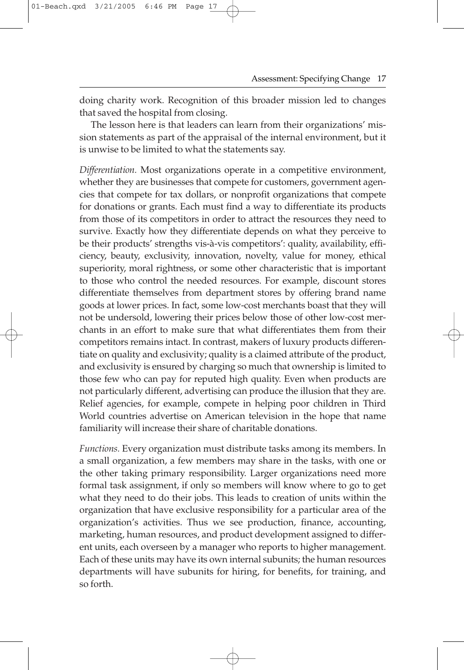doing charity work. Recognition of this broader mission led to changes that saved the hospital from closing.

The lesson here is that leaders can learn from their organizations' mission statements as part of the appraisal of the internal environment, but it is unwise to be limited to what the statements say.

*Differentiation.* Most organizations operate in a competitive environment, whether they are businesses that compete for customers, government agencies that compete for tax dollars, or nonprofit organizations that compete for donations or grants. Each must find a way to differentiate its products from those of its competitors in order to attract the resources they need to survive. Exactly how they differentiate depends on what they perceive to be their products' strengths vis-à-vis competitors': quality, availability, efficiency, beauty, exclusivity, innovation, novelty, value for money, ethical superiority, moral rightness, or some other characteristic that is important to those who control the needed resources. For example, discount stores differentiate themselves from department stores by offering brand name goods at lower prices. In fact, some low-cost merchants boast that they will not be undersold, lowering their prices below those of other low-cost merchants in an effort to make sure that what differentiates them from their competitors remains intact. In contrast, makers of luxury products differentiate on quality and exclusivity; quality is a claimed attribute of the product, and exclusivity is ensured by charging so much that ownership is limited to those few who can pay for reputed high quality. Even when products are not particularly different, advertising can produce the illusion that they are. Relief agencies, for example, compete in helping poor children in Third World countries advertise on American television in the hope that name familiarity will increase their share of charitable donations.

*Functions.* Every organization must distribute tasks among its members. In a small organization, a few members may share in the tasks, with one or the other taking primary responsibility. Larger organizations need more formal task assignment, if only so members will know where to go to get what they need to do their jobs. This leads to creation of units within the organization that have exclusive responsibility for a particular area of the organization's activities. Thus we see production, finance, accounting, marketing, human resources, and product development assigned to different units, each overseen by a manager who reports to higher management. Each of these units may have its own internal subunits; the human resources departments will have subunits for hiring, for benefits, for training, and so forth.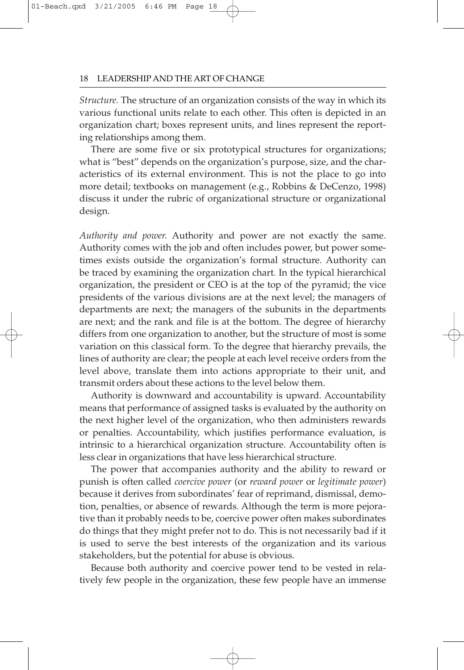*Structure.* The structure of an organization consists of the way in which its various functional units relate to each other. This often is depicted in an organization chart; boxes represent units, and lines represent the reporting relationships among them.

There are some five or six prototypical structures for organizations; what is "best" depends on the organization's purpose, size, and the characteristics of its external environment. This is not the place to go into more detail; textbooks on management (e.g., Robbins & DeCenzo, 1998) discuss it under the rubric of organizational structure or organizational design.

*Authority and power.* Authority and power are not exactly the same. Authority comes with the job and often includes power, but power sometimes exists outside the organization's formal structure. Authority can be traced by examining the organization chart. In the typical hierarchical organization, the president or CEO is at the top of the pyramid; the vice presidents of the various divisions are at the next level; the managers of departments are next; the managers of the subunits in the departments are next; and the rank and file is at the bottom. The degree of hierarchy differs from one organization to another, but the structure of most is some variation on this classical form. To the degree that hierarchy prevails, the lines of authority are clear; the people at each level receive orders from the level above, translate them into actions appropriate to their unit, and transmit orders about these actions to the level below them.

Authority is downward and accountability is upward. Accountability means that performance of assigned tasks is evaluated by the authority on the next higher level of the organization, who then administers rewards or penalties. Accountability, which justifies performance evaluation, is intrinsic to a hierarchical organization structure. Accountability often is less clear in organizations that have less hierarchical structure.

The power that accompanies authority and the ability to reward or punish is often called *coercive power* (or *reward power* or *legitimate power*) because it derives from subordinates' fear of reprimand, dismissal, demotion, penalties, or absence of rewards. Although the term is more pejorative than it probably needs to be, coercive power often makes subordinates do things that they might prefer not to do. This is not necessarily bad if it is used to serve the best interests of the organization and its various stakeholders, but the potential for abuse is obvious.

Because both authority and coercive power tend to be vested in relatively few people in the organization, these few people have an immense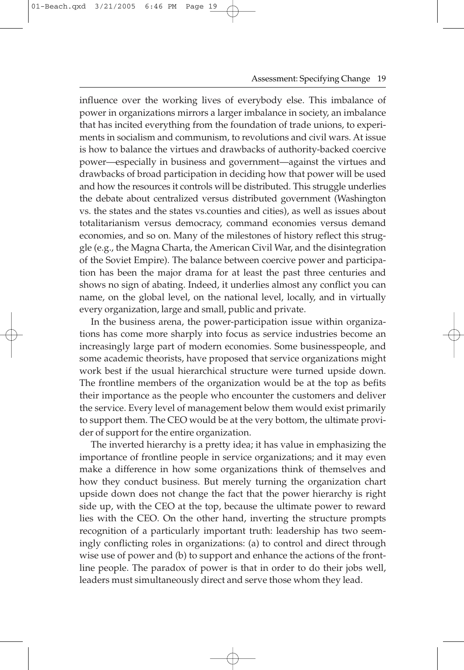influence over the working lives of everybody else. This imbalance of power in organizations mirrors a larger imbalance in society, an imbalance that has incited everything from the foundation of trade unions, to experiments in socialism and communism, to revolutions and civil wars. At issue is how to balance the virtues and drawbacks of authority-backed coercive power—especially in business and government—against the virtues and drawbacks of broad participation in deciding how that power will be used and how the resources it controls will be distributed. This struggle underlies the debate about centralized versus distributed government (Washington vs. the states and the states vs.counties and cities), as well as issues about totalitarianism versus democracy, command economies versus demand economies, and so on. Many of the milestones of history reflect this struggle (e.g., the Magna Charta, the American Civil War, and the disintegration of the Soviet Empire). The balance between coercive power and participation has been the major drama for at least the past three centuries and shows no sign of abating. Indeed, it underlies almost any conflict you can name, on the global level, on the national level, locally, and in virtually every organization, large and small, public and private.

In the business arena, the power-participation issue within organizations has come more sharply into focus as service industries become an increasingly large part of modern economies. Some businesspeople, and some academic theorists, have proposed that service organizations might work best if the usual hierarchical structure were turned upside down. The frontline members of the organization would be at the top as befits their importance as the people who encounter the customers and deliver the service. Every level of management below them would exist primarily to support them. The CEO would be at the very bottom, the ultimate provider of support for the entire organization.

The inverted hierarchy is a pretty idea; it has value in emphasizing the importance of frontline people in service organizations; and it may even make a difference in how some organizations think of themselves and how they conduct business. But merely turning the organization chart upside down does not change the fact that the power hierarchy is right side up, with the CEO at the top, because the ultimate power to reward lies with the CEO. On the other hand, inverting the structure prompts recognition of a particularly important truth: leadership has two seemingly conflicting roles in organizations: (a) to control and direct through wise use of power and (b) to support and enhance the actions of the frontline people. The paradox of power is that in order to do their jobs well, leaders must simultaneously direct and serve those whom they lead.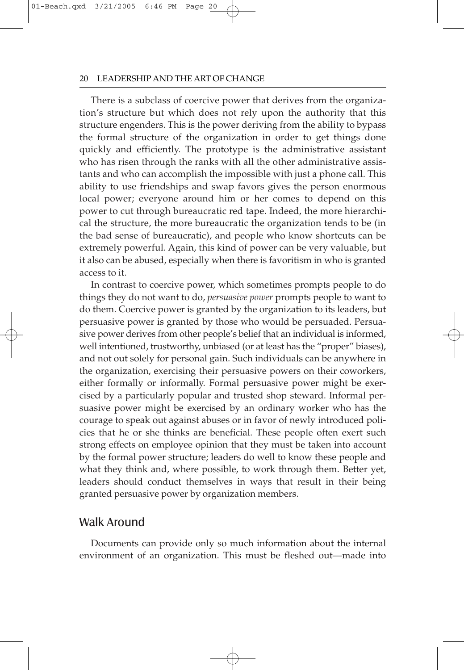There is a subclass of coercive power that derives from the organization's structure but which does not rely upon the authority that this structure engenders. This is the power deriving from the ability to bypass the formal structure of the organization in order to get things done quickly and efficiently. The prototype is the administrative assistant who has risen through the ranks with all the other administrative assistants and who can accomplish the impossible with just a phone call. This ability to use friendships and swap favors gives the person enormous local power; everyone around him or her comes to depend on this power to cut through bureaucratic red tape. Indeed, the more hierarchical the structure, the more bureaucratic the organization tends to be (in the bad sense of bureaucratic), and people who know shortcuts can be extremely powerful. Again, this kind of power can be very valuable, but it also can be abused, especially when there is favoritism in who is granted access to it.

In contrast to coercive power, which sometimes prompts people to do things they do not want to do, *persuasive power* prompts people to want to do them. Coercive power is granted by the organization to its leaders, but persuasive power is granted by those who would be persuaded. Persuasive power derives from other people's belief that an individual is informed, well intentioned, trustworthy, unbiased (or at least has the "proper" biases), and not out solely for personal gain. Such individuals can be anywhere in the organization, exercising their persuasive powers on their coworkers, either formally or informally. Formal persuasive power might be exercised by a particularly popular and trusted shop steward. Informal persuasive power might be exercised by an ordinary worker who has the courage to speak out against abuses or in favor of newly introduced policies that he or she thinks are beneficial. These people often exert such strong effects on employee opinion that they must be taken into account by the formal power structure; leaders do well to know these people and what they think and, where possible, to work through them. Better yet, leaders should conduct themselves in ways that result in their being granted persuasive power by organization members.

## Walk Around

Documents can provide only so much information about the internal environment of an organization. This must be fleshed out—made into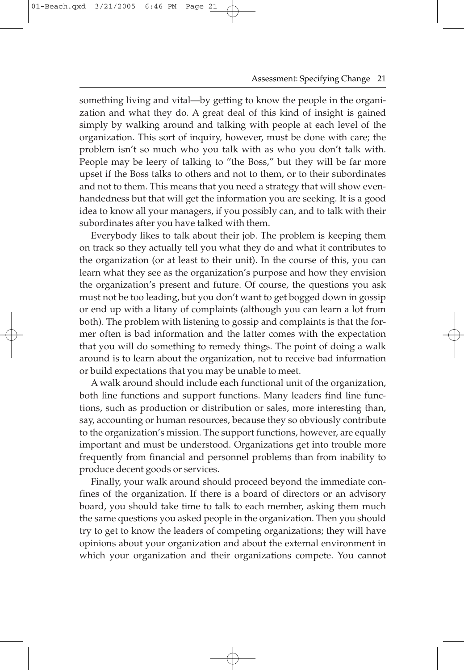something living and vital—by getting to know the people in the organization and what they do. A great deal of this kind of insight is gained simply by walking around and talking with people at each level of the organization. This sort of inquiry, however, must be done with care; the problem isn't so much who you talk with as who you don't talk with. People may be leery of talking to "the Boss," but they will be far more upset if the Boss talks to others and not to them, or to their subordinates and not to them. This means that you need a strategy that will show evenhandedness but that will get the information you are seeking. It is a good idea to know all your managers, if you possibly can, and to talk with their subordinates after you have talked with them.

Everybody likes to talk about their job. The problem is keeping them on track so they actually tell you what they do and what it contributes to the organization (or at least to their unit). In the course of this, you can learn what they see as the organization's purpose and how they envision the organization's present and future. Of course, the questions you ask must not be too leading, but you don't want to get bogged down in gossip or end up with a litany of complaints (although you can learn a lot from both). The problem with listening to gossip and complaints is that the former often is bad information and the latter comes with the expectation that you will do something to remedy things. The point of doing a walk around is to learn about the organization, not to receive bad information or build expectations that you may be unable to meet.

A walk around should include each functional unit of the organization, both line functions and support functions. Many leaders find line functions, such as production or distribution or sales, more interesting than, say, accounting or human resources, because they so obviously contribute to the organization's mission. The support functions, however, are equally important and must be understood. Organizations get into trouble more frequently from financial and personnel problems than from inability to produce decent goods or services.

Finally, your walk around should proceed beyond the immediate confines of the organization. If there is a board of directors or an advisory board, you should take time to talk to each member, asking them much the same questions you asked people in the organization. Then you should try to get to know the leaders of competing organizations; they will have opinions about your organization and about the external environment in which your organization and their organizations compete. You cannot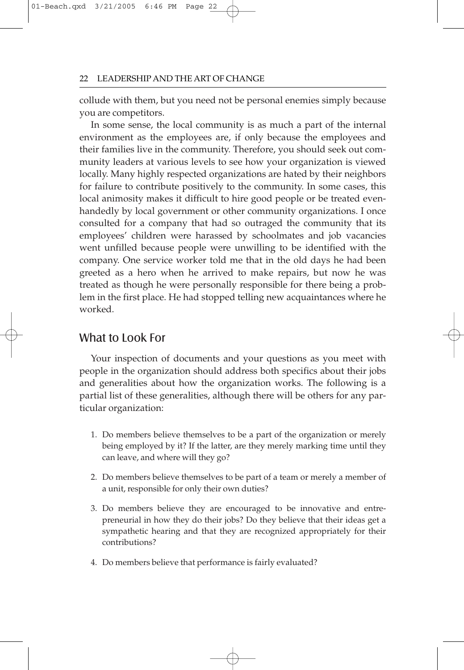collude with them, but you need not be personal enemies simply because you are competitors.

In some sense, the local community is as much a part of the internal environment as the employees are, if only because the employees and their families live in the community. Therefore, you should seek out community leaders at various levels to see how your organization is viewed locally. Many highly respected organizations are hated by their neighbors for failure to contribute positively to the community. In some cases, this local animosity makes it difficult to hire good people or be treated evenhandedly by local government or other community organizations. I once consulted for a company that had so outraged the community that its employees' children were harassed by schoolmates and job vacancies went unfilled because people were unwilling to be identified with the company. One service worker told me that in the old days he had been greeted as a hero when he arrived to make repairs, but now he was treated as though he were personally responsible for there being a problem in the first place. He had stopped telling new acquaintances where he worked.

### What to Look For

Your inspection of documents and your questions as you meet with people in the organization should address both specifics about their jobs and generalities about how the organization works. The following is a partial list of these generalities, although there will be others for any particular organization:

- 1. Do members believe themselves to be a part of the organization or merely being employed by it? If the latter, are they merely marking time until they can leave, and where will they go?
- 2. Do members believe themselves to be part of a team or merely a member of a unit, responsible for only their own duties?
- 3. Do members believe they are encouraged to be innovative and entrepreneurial in how they do their jobs? Do they believe that their ideas get a sympathetic hearing and that they are recognized appropriately for their contributions?
- 4. Do members believe that performance is fairly evaluated?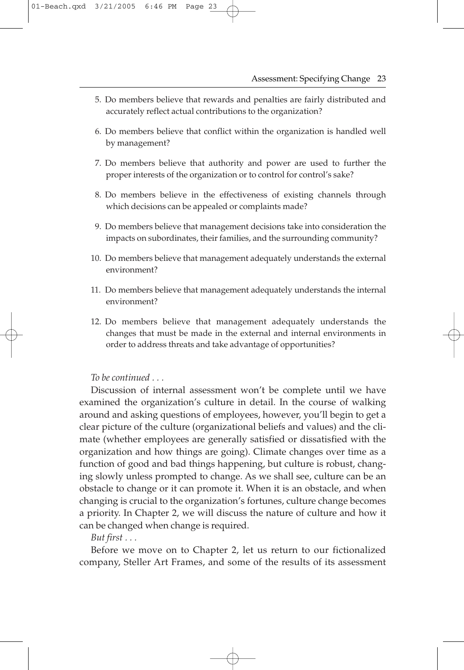- 5. Do members believe that rewards and penalties are fairly distributed and accurately reflect actual contributions to the organization?
- 6. Do members believe that conflict within the organization is handled well by management?
- 7. Do members believe that authority and power are used to further the proper interests of the organization or to control for control's sake?
- 8. Do members believe in the effectiveness of existing channels through which decisions can be appealed or complaints made?
- 9. Do members believe that management decisions take into consideration the impacts on subordinates, their families, and the surrounding community?
- 10. Do members believe that management adequately understands the external environment?
- 11. Do members believe that management adequately understands the internal environment?
- 12. Do members believe that management adequately understands the changes that must be made in the external and internal environments in order to address threats and take advantage of opportunities?

#### *To be continued...*

Discussion of internal assessment won't be complete until we have examined the organization's culture in detail. In the course of walking around and asking questions of employees, however, you'll begin to get a clear picture of the culture (organizational beliefs and values) and the climate (whether employees are generally satisfied or dissatisfied with the organization and how things are going). Climate changes over time as a function of good and bad things happening, but culture is robust, changing slowly unless prompted to change. As we shall see, culture can be an obstacle to change or it can promote it. When it is an obstacle, and when changing is crucial to the organization's fortunes, culture change becomes a priority. In Chapter 2, we will discuss the nature of culture and how it can be changed when change is required.

#### *But first...*

Before we move on to Chapter 2, let us return to our fictionalized company, Steller Art Frames, and some of the results of its assessment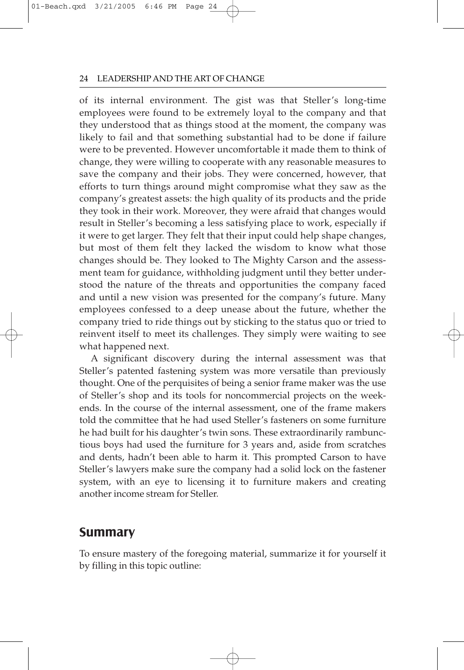of its internal environment. The gist was that Steller's long-time employees were found to be extremely loyal to the company and that they understood that as things stood at the moment, the company was likely to fail and that something substantial had to be done if failure were to be prevented. However uncomfortable it made them to think of change, they were willing to cooperate with any reasonable measures to save the company and their jobs. They were concerned, however, that efforts to turn things around might compromise what they saw as the company's greatest assets: the high quality of its products and the pride they took in their work. Moreover, they were afraid that changes would result in Steller's becoming a less satisfying place to work, especially if it were to get larger. They felt that their input could help shape changes, but most of them felt they lacked the wisdom to know what those changes should be. They looked to The Mighty Carson and the assessment team for guidance, withholding judgment until they better understood the nature of the threats and opportunities the company faced and until a new vision was presented for the company's future. Many employees confessed to a deep unease about the future, whether the company tried to ride things out by sticking to the status quo or tried to reinvent itself to meet its challenges. They simply were waiting to see what happened next.

A significant discovery during the internal assessment was that Steller's patented fastening system was more versatile than previously thought. One of the perquisites of being a senior frame maker was the use of Steller's shop and its tools for noncommercial projects on the weekends. In the course of the internal assessment, one of the frame makers told the committee that he had used Steller's fasteners on some furniture he had built for his daughter's twin sons. These extraordinarily rambunctious boys had used the furniture for 3 years and, aside from scratches and dents, hadn't been able to harm it. This prompted Carson to have Steller's lawyers make sure the company had a solid lock on the fastener system, with an eye to licensing it to furniture makers and creating another income stream for Steller.

## **Summary**

To ensure mastery of the foregoing material, summarize it for yourself it by filling in this topic outline: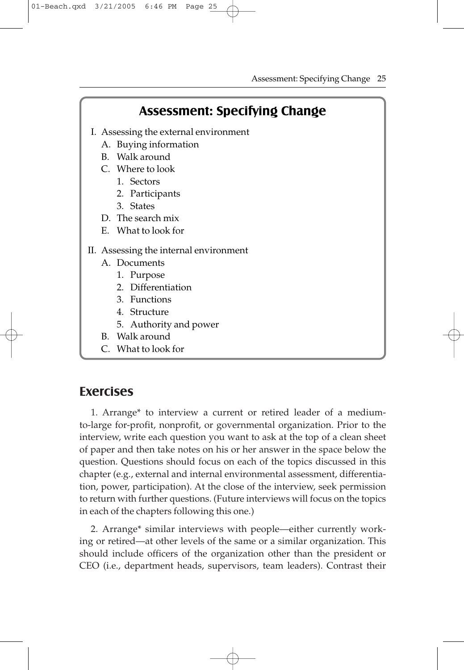

C. What to look for

## **Exercises**

1. Arrange\* to interview a current or retired leader of a mediumto-large for-profit, nonprofit, or governmental organization. Prior to the interview, write each question you want to ask at the top of a clean sheet of paper and then take notes on his or her answer in the space below the question. Questions should focus on each of the topics discussed in this chapter (e.g., external and internal environmental assessment, differentiation, power, participation). At the close of the interview, seek permission to return with further questions. (Future interviews will focus on the topics in each of the chapters following this one.)

2. Arrange\* similar interviews with people—either currently working or retired—at other levels of the same or a similar organization. This should include officers of the organization other than the president or CEO (i.e., department heads, supervisors, team leaders). Contrast their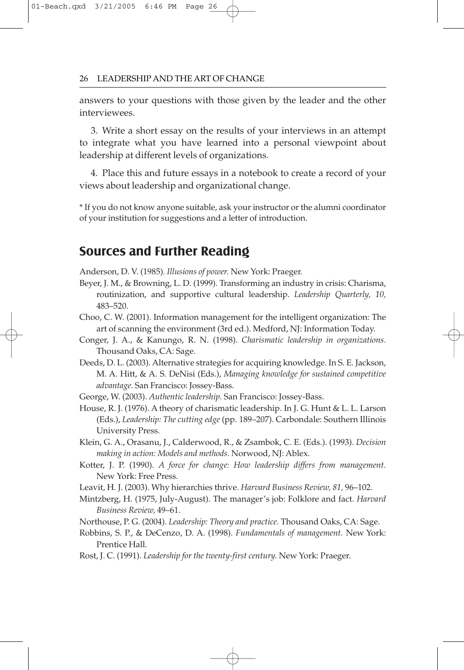answers to your questions with those given by the leader and the other interviewees.

3. Write a short essay on the results of your interviews in an attempt to integrate what you have learned into a personal viewpoint about leadership at different levels of organizations.

4. Place this and future essays in a notebook to create a record of your views about leadership and organizational change.

\* If you do not know anyone suitable, ask your instructor or the alumni coordinator of your institution for suggestions and a letter of introduction.

## **Sources and Further Reading**

Anderson, D. V. (1985). *Illusions of power.* New York: Praeger.

- Beyer, J. M., & Browning, L. D. (1999). Transforming an industry in crisis: Charisma, routinization, and supportive cultural leadership. *Leadership Quarterly, 10,* 483–520.
- Choo, C. W. (2001). Information management for the intelligent organization: The art of scanning the environment (3rd ed.). Medford, NJ: Information Today.
- Conger, J. A., & Kanungo, R. N. (1998). *Charismatic leadership in organizations.* Thousand Oaks, CA: Sage.
- Deeds, D. L. (2003). Alternative strategies for acquiring knowledge. In S. E. Jackson, M. A. Hitt, & A. S. DeNisi (Eds.), *Managing knowledge for sustained competitive advantage.* San Francisco: Jossey-Bass.

George, W. (2003). *Authentic leadership.* San Francisco: Jossey-Bass.

- House, R. J. (1976). A theory of charismatic leadership. In J. G. Hunt & L. L. Larson (Eds.), *Leadership: The cutting edge* (pp. 189–207). Carbondale: Southern Illinois University Press.
- Klein, G. A., Orasanu, J., Calderwood, R., & Zsambok, C. E. (Eds.). (1993). *Decision making in action: Models and methods.* Norwood, NJ: Ablex.
- Kotter, J. P. (1990). *A force for change: How leadership differs from management.* New York: Free Press.
- Leavit, H. J. (2003). Why hierarchies thrive. *Harvard Business Review, 81,* 96–102.
- Mintzberg, H. (1975, July-August). The manager's job: Folklore and fact. *Harvard Business Review,* 49–61.

Northouse, P. G. (2004). *Leadership: Theory and practice.* Thousand Oaks, CA: Sage.

Robbins, S. P., & DeCenzo, D. A. (1998). *Fundamentals of management.* New York: Prentice Hall.

Rost, J. C. (1991). *Leadership for the twenty-first century.* New York: Praeger.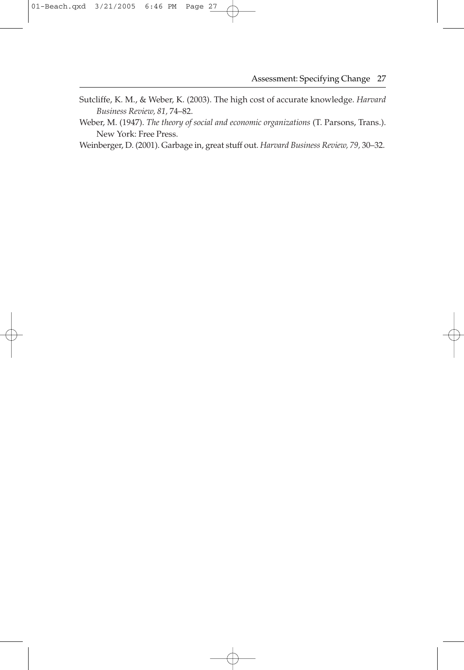- Sutcliffe, K. M., & Weber, K. (2003). The high cost of accurate knowledge. *Harvard Business Review, 81,* 74–82.
- Weber, M. (1947). *The theory of social and economic organizations* (T. Parsons, Trans.). New York: Free Press.

Weinberger, D. (2001). Garbage in, great stuff out. *Harvard Business Review, 79,* 30–32.